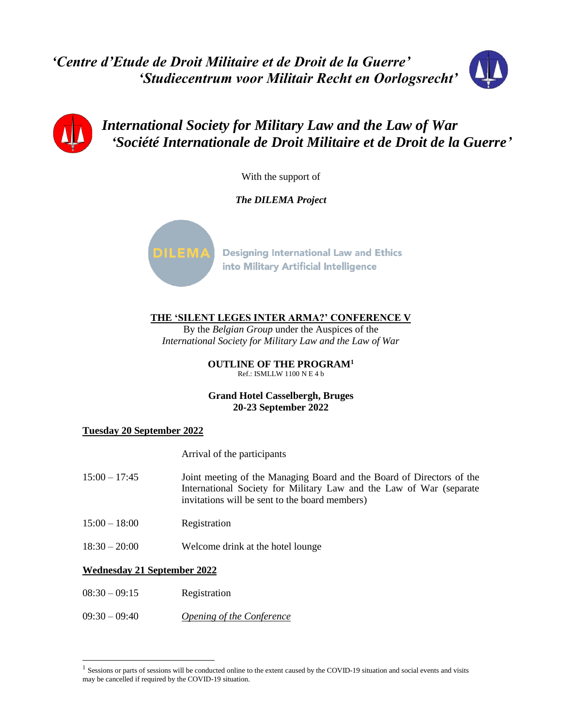*'Centre d'Etude de Droit Militaire et de Droit de la Guerre' 'Studiecentrum voor Militair Recht en Oorlogsrecht'*





*International Society for Military Law and the Law of War 'Société Internationale de Droit Militaire et de Droit de la Guerre'*

With the support of

*The DILEMA Project*



**Designing International Law and Ethics** into Military Artificial Intelligence

**THE 'SILENT LEGES INTER ARMA?' CONFERENCE V**

By the *Belgian Group* under the Auspices of the *International Society for Military Law and the Law of War*

> **OUTLINE OF THE PROGRAM<sup>1</sup>** Ref.: ISMLLW 1100 N E 4 b

### **Grand Hotel Casselbergh, Bruges 20-23 September 2022**

## **Tuesday 20 September 2022**

Arrival of the participants

- 15:00 17:45 Joint meeting of the Managing Board and the Board of Directors of the International Society for Military Law and the Law of War (separate invitations will be sent to the board members)
- 15:00 18:00 Registration
- 18:30 20:00 Welcome drink at the hotel lounge

#### **Wednesday 21 September 2022**

l

- 08:30 09:15 Registration
- 09:30 09:40 *Opening of the Conference*

<sup>&</sup>lt;sup>1</sup> Sessions or parts of sessions will be conducted online to the extent caused by the COVID-19 situation and social events and visits may be cancelled if required by the COVID-19 situation.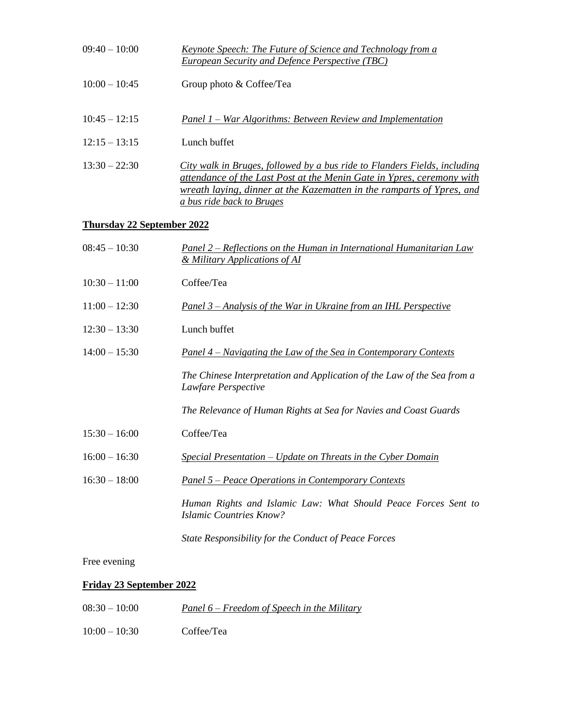| $09:40 - 10:00$                   | Keynote Speech: The Future of Science and Technology from a<br><b>European Security and Defence Perspective (TBC)</b>                                                                                                                                           |  |
|-----------------------------------|-----------------------------------------------------------------------------------------------------------------------------------------------------------------------------------------------------------------------------------------------------------------|--|
| $10:00 - 10:45$                   | Group photo & Coffee/Tea                                                                                                                                                                                                                                        |  |
| $10:45 - 12:15$                   | <u> Panel 1 – War Algorithms: Between Review and Implementation</u>                                                                                                                                                                                             |  |
| $12:15 - 13:15$                   | Lunch buffet                                                                                                                                                                                                                                                    |  |
| $13:30 - 22:30$                   | City walk in Bruges, followed by a bus ride to Flanders Fields, including<br><u>attendance of the Last Post at the Menin Gate in Ypres, ceremony with</u><br>wreath laying, dinner at the Kazematten in the ramparts of Ypres, and<br>a bus ride back to Bruges |  |
| <b>Thursday 22 September 2022</b> |                                                                                                                                                                                                                                                                 |  |
| $08:45 - 10:30$                   | <b>Panel 2 – Reflections on the Human in International Humanitarian Law</b><br>& Military Applications of AI                                                                                                                                                    |  |
| $10:30 - 11:00$                   | Coffee/Tea                                                                                                                                                                                                                                                      |  |
| $11:00 - 12:30$                   | Panel 3 – Analysis of the War in Ukraine from an IHL Perspective                                                                                                                                                                                                |  |
| $12:30 - 13:30$                   | Lunch buffet                                                                                                                                                                                                                                                    |  |
| $14:00 - 15:30$                   | <u>Panel 4 – Navigating the Law of the Sea in Contemporary Contexts</u>                                                                                                                                                                                         |  |
|                                   | The Chinese Interpretation and Application of the Law of the Sea from a<br>Lawfare Perspective                                                                                                                                                                  |  |
|                                   | The Relevance of Human Rights at Sea for Navies and Coast Guards                                                                                                                                                                                                |  |
| $15:30 - 16:00$                   | Coffee/Tea                                                                                                                                                                                                                                                      |  |
| $16:00 - 16:30$                   | Special Presentation - Update on Threats in the Cyber Domain                                                                                                                                                                                                    |  |
| $16:30 - 18:00$                   | <u> Panel 5 – Peace Operations in Contemporary Contexts</u>                                                                                                                                                                                                     |  |
|                                   | Human Rights and Islamic Law: What Should Peace Forces Sent to<br><b>Islamic Countries Know?</b>                                                                                                                                                                |  |
|                                   | State Responsibility for the Conduct of Peace Forces                                                                                                                                                                                                            |  |

## Free evening

# **Friday 23 September 2022**

| $08:30 - 10:00$ | <u>Panel 6 – Freedom of Speech in the Military</u> |
|-----------------|----------------------------------------------------|
| $10:00-10:30$   | Coffee/Tea                                         |